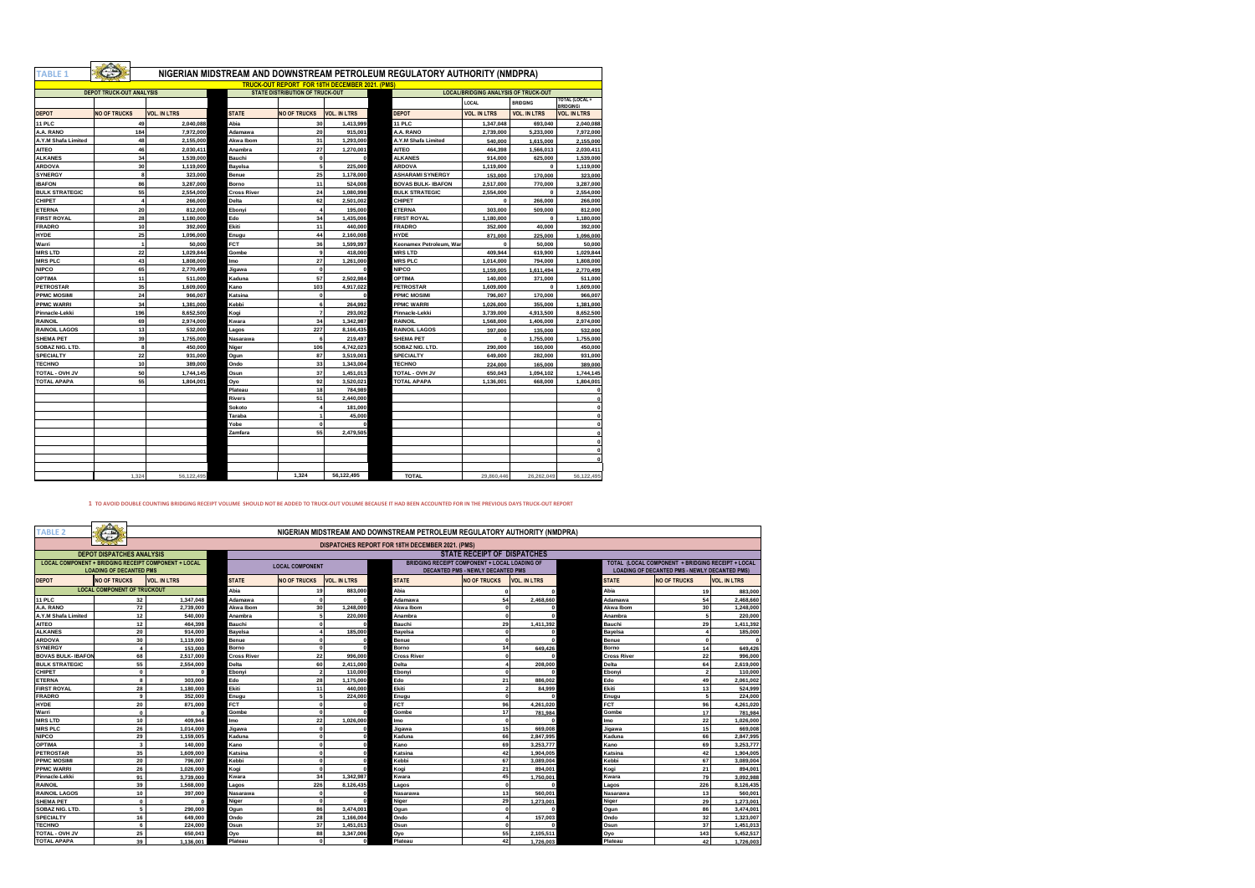| <b>TABLE 1</b>        |                                                                                                                                                                                  | NIGERIAN MIDSTREAM AND DOWNSTREAM PETROLEUM REGULATORY AUTHORITY (NMDPRA) |                    |                     |                     |                           |                     |                     |                                   |  |  |  |
|-----------------------|----------------------------------------------------------------------------------------------------------------------------------------------------------------------------------|---------------------------------------------------------------------------|--------------------|---------------------|---------------------|---------------------------|---------------------|---------------------|-----------------------------------|--|--|--|
|                       |                                                                                                                                                                                  |                                                                           |                    |                     |                     |                           |                     |                     |                                   |  |  |  |
|                       | <b>TRUCK-OUT REPORT FOR 18TH DECEMBER 2021, (PMS</b><br><b>DEPOT TRUCK-OUT ANALYSIS</b><br><b>STATE DISTRIBUTION OF TRUCK-OUT</b><br><b>LOCAL/BRIDGING ANALYSIS OF TRUCK-OUT</b> |                                                                           |                    |                     |                     |                           |                     |                     |                                   |  |  |  |
|                       |                                                                                                                                                                                  |                                                                           |                    |                     |                     |                           | LOCAL               | <b>BRIDGING</b>     | TOTAL (LOCAL+<br><b>BRIDGING)</b> |  |  |  |
| <b>DEPOT</b>          | <b>NO OF TRUCKS</b>                                                                                                                                                              | <b>VOL. IN LTRS</b>                                                       | <b>STATE</b>       | <b>NO OF TRUCKS</b> | <b>VOL. IN LTRS</b> | DEPOT                     | <b>VOL. IN LTRS</b> | <b>VOL. IN LTRS</b> | <b>VOL. IN LTRS</b>               |  |  |  |
| 11 PLC                | 49                                                                                                                                                                               | 2.040.088                                                                 | Abia               | 30                  | 1.413.999           | 11 PLC                    | 1.347.048           | 693.040             | 2.040.088                         |  |  |  |
| A.A. RANO             | 184                                                                                                                                                                              | 7.972.000                                                                 | Adamawa            | 20                  | 915,001             | A.A. RANO                 | 2,739,000           | 5,233,000           | 7,972,000                         |  |  |  |
| A.Y.M Shafa Limited   | 48                                                                                                                                                                               | 2,155,000                                                                 | Akwa Ibom          | 31                  | 1,293,000           | A.Y.M Shafa Limited       | 540,000             | 1,615,000           | 2,155,000                         |  |  |  |
| <b>AITEO</b>          | 46                                                                                                                                                                               | 2.030.411                                                                 | Anambra            | 27                  | 1.270.001           | <b>AITEO</b>              | 464.398             | 1.566.013           | 2.030.411                         |  |  |  |
| <b>ALKANES</b>        | 34                                                                                                                                                                               | 1,539,000                                                                 | Bauchi             | $\mathbf{0}$        | $\Omega$            | <b>ALKANES</b>            | 914,000             | 625,000             | 1,539,000                         |  |  |  |
| <b>ARDOVA</b>         | 30                                                                                                                                                                               | 1.119.000                                                                 | Bavelsa            | 5                   | 225,000             | <b>ARDOVA</b>             | 1.119.000           | $\mathbf{0}$        | 1,119,000                         |  |  |  |
| <b>SYNERGY</b>        |                                                                                                                                                                                  | 8<br>323,000                                                              | Benue              | 25                  | 1.178.000           | <b>ASHARAMI SYNERGY</b>   | 153,000             | 170,000             | 323,000                           |  |  |  |
| <b>IBAFON</b>         | 86                                                                                                                                                                               | 3,287,000                                                                 | Borno              | 11                  | 524,008             | <b>BOVAS BULK- IBAFON</b> | 2,517,000           | 770,000             | 3,287,000                         |  |  |  |
| <b>BULK STRATEGIC</b> | 55                                                                                                                                                                               | 2,554,000                                                                 | <b>Cross River</b> | 24                  | 1.080.998           | <b>BULK STRATEGIC</b>     | 2,554,000           | $\mathbf{0}$        | 2,554,000                         |  |  |  |
| CHIPET                |                                                                                                                                                                                  | $\overline{4}$<br>266,000                                                 | Delta              | 62                  | 2.501.002           | CHIPET                    | $\bf{0}$            | 266,000             | 266,000                           |  |  |  |
| <b>ETERNA</b>         | 20                                                                                                                                                                               | 812,000                                                                   | Ebonvi             | $\boldsymbol{A}$    | 195,000             | <b>ETERNA</b>             | 303,000             | 509,000             | 812,000                           |  |  |  |
| <b>FIRST ROYAL</b>    | 28                                                                                                                                                                               | 1.180.000                                                                 | Edo                | 34                  | 1.435.006           | <b>FIRST ROYAL</b>        | 1.180.000           | $\mathbf 0$         | 1,180,000                         |  |  |  |
| <b>FRADRO</b>         | 10                                                                                                                                                                               | 392,000                                                                   | Ekiti              | 11                  | 440,000             | <b>FRADRO</b>             | 352,000             | 40,000              | 392,000                           |  |  |  |
| HYDE                  | 25                                                                                                                                                                               | 1,096,000                                                                 | Enugu              | 44                  | 2.160.008           | <b>HYDE</b>               | 871,000             | 225,000             | 1,096,000                         |  |  |  |
| Warri                 |                                                                                                                                                                                  | $\overline{1}$<br>50,000                                                  | FCT                | 36                  | 1,599,997           | Keonamex Petroleum, War   | $\Omega$            | 50,000              | 50,000                            |  |  |  |
| <b>MRS LTD</b>        | 22                                                                                                                                                                               | 1.029.844                                                                 | Gombe              | 9                   | 418,000             | <b>MRSLTD</b>             | 409.944             | 619,900             | 1.029.844                         |  |  |  |
| <b>MRS PLC</b>        | 43                                                                                                                                                                               | 1,808,000                                                                 | lmo                | 27                  | 1.261.000           | <b>MRSPLC</b>             | 1.014.000           | 794,000             | 1,808,000                         |  |  |  |
| <b>NIPCO</b>          | 65                                                                                                                                                                               | 2,770,499                                                                 | Jigawa             | $\mathbf 0$         | $\Omega$            | <b>NIPCO</b>              | 1,159,005           | 1.611.494           | 2,770,499                         |  |  |  |
| <b>OPTIMA</b>         | 11                                                                                                                                                                               | 511.000                                                                   | Kaduna             | 57                  | 2.502.984           | <b>OPTIMA</b>             | 140,000             | 371,000             | 511,000                           |  |  |  |
| <b>PETROSTAR</b>      | 35                                                                                                                                                                               | 1,609,000                                                                 | Kano               | 103                 | 4.917.022           | <b>PETROSTAR</b>          | 1,609,000           | $\mathbf{0}$        | 1,609,000                         |  |  |  |
| <b>PPMC MOSIMI</b>    | 24                                                                                                                                                                               | 966,007                                                                   | Katsina            | $\mathbf{0}$        | $\Omega$            | <b>PPMC MOSIMI</b>        | 796,007             | 170,000             | 966.007                           |  |  |  |
| <b>PPMC WARRI</b>     | 34                                                                                                                                                                               | 1,381,000                                                                 | Kebbi              | 6                   | 264.992             | <b>PPMC WARRI</b>         | 1.026.000           | 355,000             | 1,381,000                         |  |  |  |
| Pinnacle-Lekki        | 196                                                                                                                                                                              | 8.652.500                                                                 | Kogi               | $\overline{ }$      | 293,002             | Pinnacle-Lekki            | 3.739.000           | 4.913.500           | 8.652.500                         |  |  |  |
| <b>RAINOIL</b>        | 69                                                                                                                                                                               | 2.974.000                                                                 | Kwara              | 34                  | 1.342.987           | <b>RAINOIL</b>            | 1,568,000           | 1,406,000           | 2.974.000                         |  |  |  |
| <b>RAINOIL LAGOS</b>  | 13                                                                                                                                                                               | 532,000                                                                   | Lagos              | 227                 | 8,166,435           | <b>RAINOIL LAGOS</b>      | 397,000             | 135,000             | 532,000                           |  |  |  |
| <b>SHEMA PET</b>      | 39                                                                                                                                                                               | 1,755,000                                                                 | Nasarawa           | 6                   | 219,497             | SHEMA PET                 | $\mathbf 0$         | 1.755.000           | 1.755.000                         |  |  |  |
| SOBAZ NIG. LTD.       |                                                                                                                                                                                  | 8<br>450.000                                                              | Niger              | 106                 | 4.742.023           | SOBAZ NIG. LTD.           | 290,000             | 160,000             | 450,000                           |  |  |  |
| <b>SPECIALTY</b>      | 22                                                                                                                                                                               | 931.000                                                                   | Ogun               | 87                  | 3,519,001           | <b>SPECIALTY</b>          | 649,000             | 282,000             | 931.000                           |  |  |  |
| <b>TECHNO</b>         | 10                                                                                                                                                                               | 389,000                                                                   | Ondo               | 33                  | 1.343.004           | <b>TECHNO</b>             | 224,000             | 165,000             | 389,000                           |  |  |  |
| TOTAL - OVH JV        | 50                                                                                                                                                                               | 1.744.145                                                                 | Osun               | 37                  | 1.451.013           | TOTAL - OVH JV            | 650,043             | 1,094,102           | 1,744,145                         |  |  |  |
| <b>TOTAL APAPA</b>    | 55                                                                                                                                                                               | 1,804,001                                                                 | Oyo                | 92                  | 3,520,021           | <b>TOTAL APAPA</b>        | 1.136.001           | 668,000             | 1.804.001                         |  |  |  |
|                       |                                                                                                                                                                                  |                                                                           | Plateau            | 18                  | 784,989             |                           |                     |                     |                                   |  |  |  |
|                       |                                                                                                                                                                                  |                                                                           | Rivers             | 51                  | 2.440.000           |                           |                     |                     |                                   |  |  |  |
|                       |                                                                                                                                                                                  |                                                                           | Sokoto             |                     | 181,000             |                           |                     |                     |                                   |  |  |  |
|                       |                                                                                                                                                                                  |                                                                           | Taraba             | 1                   | 45,000              |                           |                     |                     |                                   |  |  |  |
|                       |                                                                                                                                                                                  |                                                                           | Yobe               | $\Omega$            | $\Omega$            |                           |                     |                     |                                   |  |  |  |
|                       |                                                                                                                                                                                  |                                                                           | Zamfara            | 55                  | 2,479,505           |                           |                     |                     |                                   |  |  |  |
|                       |                                                                                                                                                                                  |                                                                           |                    |                     |                     |                           |                     |                     |                                   |  |  |  |
|                       |                                                                                                                                                                                  |                                                                           |                    |                     |                     |                           |                     |                     |                                   |  |  |  |
|                       |                                                                                                                                                                                  |                                                                           |                    |                     |                     |                           |                     |                     |                                   |  |  |  |
|                       |                                                                                                                                                                                  |                                                                           |                    |                     |                     |                           |                     |                     |                                   |  |  |  |
|                       | 1.324                                                                                                                                                                            | 56,122,495                                                                |                    | 1.324               | 56.122.495          | <b>TOTAL</b>              | 29,860,446          | 26.262.049          | 56,122,495                        |  |  |  |

## **1 TO AVOID DOUBLE COUNTING BRIDGING RECEIPT VOLUME SHOULD NOT BE ADDED TO TRUCK-OUT VOLUME BECAUSE IT HAD BEEN ACCOUNTED FOR IN THE PREVIOUS DAYS TRUCK-OUT REPORT**

| <b>TABLE 2</b>                                                                                       | $\bigoplus$<br>NIGERIAN MIDSTREAM AND DOWNSTREAM PETROLEUM REGULATORY AUTHORITY (NMDPRA) |                                                             |                    |                     |                     |                                                      |                                                      |                     |                    |                                                   |                     |
|------------------------------------------------------------------------------------------------------|------------------------------------------------------------------------------------------|-------------------------------------------------------------|--------------------|---------------------|---------------------|------------------------------------------------------|------------------------------------------------------|---------------------|--------------------|---------------------------------------------------|---------------------|
|                                                                                                      | DISPATCHES REPORT FOR 18TH DECEMBER 2021. (PMS)                                          |                                                             |                    |                     |                     |                                                      |                                                      |                     |                    |                                                   |                     |
|                                                                                                      | <b>DEPOT DISPATCHES ANALYSIS</b>                                                         |                                                             |                    |                     |                     |                                                      | <b>STATE RECEIPT OF DISPATCHES</b>                   |                     |                    |                                                   |                     |
|                                                                                                      |                                                                                          | <b>LOCAL COMPONENT + BRIDGING RECEIPT COMPONENT + LOCAL</b> |                    |                     |                     |                                                      | <b>BRIDGING RECEIPT COMPONENT + LOCAL LOADING OF</b> |                     |                    | TOTAL (LOCAL COMPONENT + BRIDGING RECEIPT + LOCAL |                     |
| <b>LOCAL COMPONENT</b><br><b>LOADING OF DECANTED PMS</b><br><b>DECANTED PMS - NEWLY DECANTED PMS</b> |                                                                                          |                                                             |                    |                     |                     | <b>LOADING OF DECANTED PMS - NEWLY DECANTED PMS)</b> |                                                      |                     |                    |                                                   |                     |
| <b>DEPOT</b>                                                                                         | <b>NO OF TRUCKS</b>                                                                      | <b>VOL. IN LTRS</b>                                         | <b>STATE</b>       | <b>NO OF TRUCKS</b> | <b>VOL. IN LTRS</b> | <b>STATE</b>                                         | <b>NO OF TRUCKS</b>                                  | <b>VOL. IN LTRS</b> | <b>STATE</b>       | <b>NO OF TRUCKS</b>                               | <b>VOL. IN LTRS</b> |
| <b>LOCAL COMPONENT OF TRUCKOUT</b>                                                                   |                                                                                          | Ahia                                                        | 19                 | 883,000             | Abia                |                                                      | $\Omega$                                             | Abia                | 19                 | 883,000                                           |                     |
| <b>11 PLC</b>                                                                                        | 32                                                                                       | 1.347.048                                                   | Adamawa            |                     |                     | Adamawa                                              | 54                                                   | 2,468,660           | Adamawa            | 54                                                | 2.468.660           |
| A.A. RANO                                                                                            | 72                                                                                       | 2.739,000                                                   | Akwa Ibom          | 30                  | 1.248.000           | Akwa Ibom                                            | $\Omega$                                             | $\Omega$            | Akwa Ibom          | 30                                                | 1.248.000           |
| <b>A.Y.M Shafa Limited</b>                                                                           | 12                                                                                       | 540,000                                                     | Anambra            |                     | 220,000             | Anambra                                              | $\Omega$                                             | $\Omega$            | Anambra            |                                                   | 220,000             |
| <b>AITEO</b>                                                                                         | 12                                                                                       | 464.398                                                     | Bauchi             | $\Omega$            |                     | Bauchi                                               | 29                                                   | 1.411.392           | Bauchi             | 29                                                | 1.411.392           |
| <b>ALKANES</b>                                                                                       | 20                                                                                       | 914,000                                                     | Bayelsa            |                     | 185,000             | <b>Bavelsa</b>                                       | $\Omega$                                             |                     | Bayelsa            |                                                   | 185,000             |
| <b>ARDOVA</b>                                                                                        | 30                                                                                       | 1.119.000                                                   | Benue              |                     |                     | Benue                                                | $\Omega$                                             |                     | Benue              |                                                   |                     |
| <b>SYNERGY</b>                                                                                       |                                                                                          | 153,000                                                     | Borno              | $\Omega$            |                     | Borno                                                | 14                                                   | 649.426             | Borno              | 14                                                | 649.426             |
| <b>BOVAS BULK- IBAFOI</b>                                                                            | 68                                                                                       | 2.517.000                                                   | <b>Cross River</b> | 22                  | 996,000             | <b>Cross River</b>                                   | $\Omega$                                             |                     | <b>Cross River</b> | 22                                                | 996,000             |
| <b>BULK STRATEGIC</b>                                                                                | 55                                                                                       | 2,554,000                                                   | Delta              | 60                  | 2.411.000           | Delta                                                | $\Delta$                                             | 208,000             | Delta              | 64                                                | 2,619,000           |
| CHIPET                                                                                               | $\Omega$                                                                                 | $\Omega$                                                    | Ebonvi             | $\overline{2}$      | 110,000             | Ebonvi                                               | $\Omega$                                             | $\Omega$            | Ebonvi             |                                                   | 110,000             |
| <b>ETERNA</b>                                                                                        | $\mathbf{a}$                                                                             | 303,000                                                     | Edo                | 28                  | 1.175.000           | Edo                                                  | 21                                                   | 886,002             | Edo                | 49                                                | 2.061.002           |
| <b>FIRST ROYAL</b>                                                                                   | 28                                                                                       | 1.180.000                                                   | Ekiti              | 11                  | 440,000             | Ekiti                                                | $\overline{2}$                                       | 84.999              | Ekiti              | 13                                                | 524.999             |
| <b>FRADRO</b>                                                                                        | $\mathbf{a}$                                                                             | 352,000                                                     | Enuau              |                     | 224,000             | Enugu                                                | $\mathbf{r}$                                         | $\Omega$            | Enugu              |                                                   | 224,000             |
| <b>HYDE</b>                                                                                          | 20                                                                                       | 871,000                                                     | FCT                | $\Omega$            |                     | FCT                                                  | 96                                                   | 4.261.020           | <b>FCT</b>         | 96                                                | 4.261.020           |
| Warri                                                                                                | $\Omega$                                                                                 | $\mathbf{0}$                                                | Gombe              | $\mathbf{a}$        |                     | Gombe                                                | 17                                                   | 781,984             | Gombe              | 17                                                | 781,984             |
| <b>MRS LTD</b>                                                                                       | 10                                                                                       | 409.944                                                     | <b>Imo</b>         | 22                  | 1.026.000           | Imo                                                  | $\mathbf{r}$                                         | $\Omega$            | Imo                | 22                                                | 1.026.000           |
| <b>MRS PLC</b>                                                                                       | 26                                                                                       | 1.014.000                                                   | Jigawa             | $\Omega$            |                     | Jigawa                                               | 15                                                   | 669,008             | Jigawa             | 15                                                | 669,008             |
| <b>NIPCO</b>                                                                                         | 29                                                                                       | 1.159.005                                                   | Kaduna             | $\Omega$            |                     | Kaduna                                               | 66                                                   | 2.847.995           | Kaduna             | 66                                                | 2.847.995           |
| <b>OPTIMA</b>                                                                                        | $\mathbf{3}$                                                                             | 140,000                                                     | Kano               | $\Omega$            |                     | Kano                                                 | 69                                                   | 3.253.777           | Kano               | 69                                                | 3.253.777           |
| <b>PETROSTAR</b>                                                                                     | 35                                                                                       | 1.609.000                                                   | Katsina            |                     |                     | Katsina                                              | 42                                                   | 1.904.005           | Katsina            | 42                                                | 1.904.005           |
| <b>PPMC MOSIMI</b>                                                                                   | 20                                                                                       | 796,007                                                     | Kebbi              | $\Omega$            |                     | Kebbi                                                | 67                                                   | 3.089.004           | Kebbi              | 67                                                | 3.089.004           |
| <b>PPMC WARRI</b>                                                                                    | 26                                                                                       | 1.026.000                                                   | Kogi               | $\Omega$            |                     | Kogi                                                 | 21                                                   | 894.001             | Koai               | 21                                                | 894.001             |
| Pinnacle-Lekki                                                                                       | 91                                                                                       | 3,739,000                                                   | Kwara              | 34                  | 1.342.987           | Kwara                                                | 45                                                   | 1,750,001           | Kwara              | 79                                                | 3.092.988           |
| <b>RAINOIL</b>                                                                                       | 39                                                                                       | 1,568,000                                                   | Lagos              | 226                 | 8.126.435           | Lagos                                                | $\Omega$                                             |                     | Lagos              | 226                                               | 8,126,435           |
| <b>RAINOIL LAGOS</b>                                                                                 | 10                                                                                       | 397,000                                                     | Nasarawa           | $\Omega$            |                     | Nasarawa                                             | 13                                                   | 560.001             | Nasarawa           | 13                                                | 560.001             |
| <b>SHEMA PET</b>                                                                                     | $\mathbf{0}$                                                                             | $\Omega$                                                    | Niger              | $\mathbf{a}$        |                     | Niger                                                | 29                                                   | 1.273.001           | Niger              | 29                                                | 1.273.001           |
| <b>SOBAZ NIG, LTD.</b>                                                                               | -5                                                                                       | 290,000                                                     | Ogun               | 86                  | 3.474.001           | Ogun                                                 | $\Omega$                                             |                     | Ogun               | 86                                                | 3.474.00            |
| <b>SPECIALTY</b>                                                                                     | 16                                                                                       | 649,000                                                     | Ondo               | 28                  | 1.166.004           | Ondo                                                 | $\overline{a}$                                       | 157.003             | Ondo               | 32                                                | 1.323.007           |
| <b>TECHNO</b>                                                                                        | 6                                                                                        | 224,000                                                     | Osun               | 37                  | 1.451.013           | Osun                                                 | $\Omega$                                             |                     | Osun               | 37                                                | 1.451.013           |
| TOTAL - OVH JV                                                                                       | 25                                                                                       | 650.043                                                     | Ovo                | 88                  | 3.347.006           | Ovo                                                  | 55                                                   | 2.105.511           | Ovo                | 143                                               | 5.452.517           |
| <b>TOTAL APAPA</b>                                                                                   | 39                                                                                       | 1.136.001                                                   | Plateau            | $\Omega$            |                     | Plateau                                              | 42                                                   | 1.726.003           | Plateau            | 42                                                | 1.726.003           |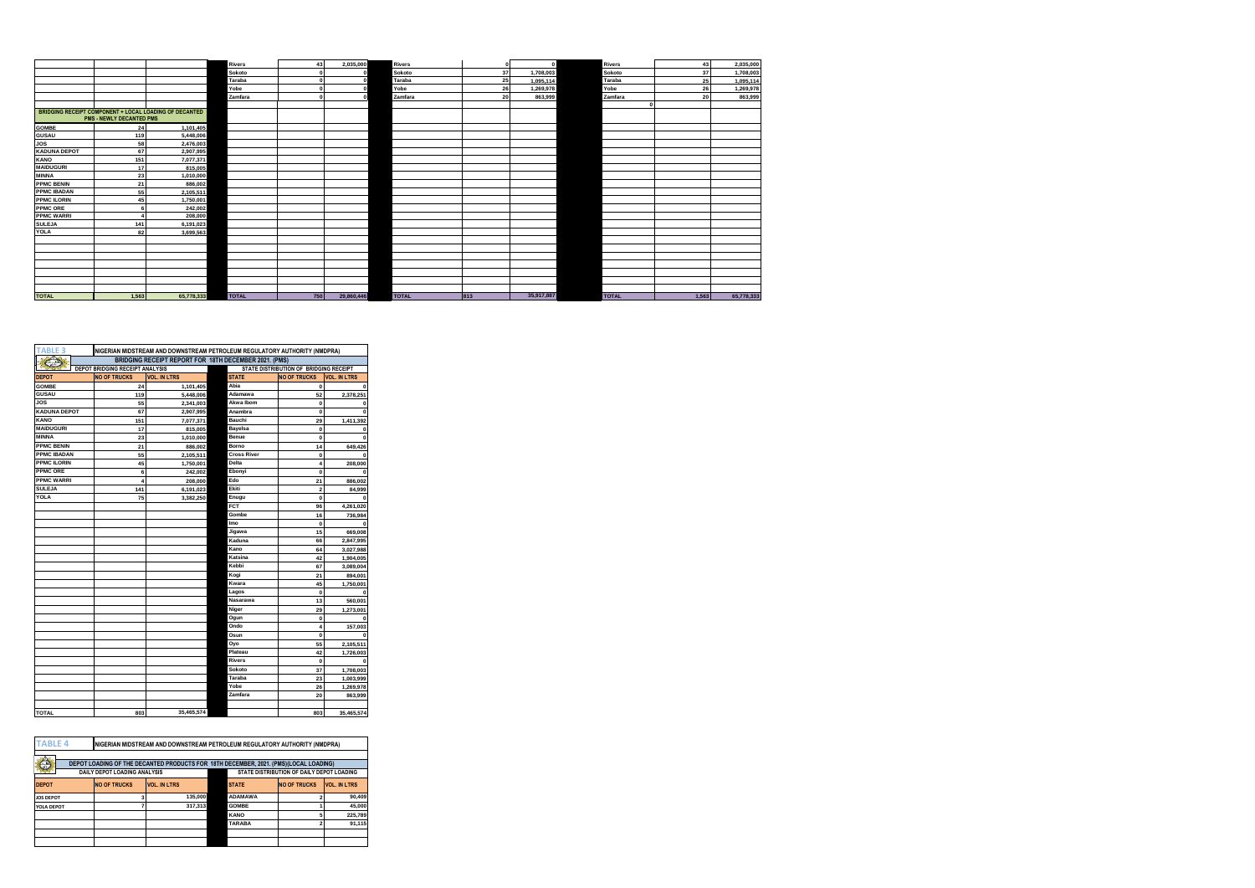|                     |                                 |                                                        | <b>Rivers</b> | 43  | 2,035,000  | <b>Rivers</b> | $\Omega$ | $\Omega$   | <b>Rivers</b> | 43    | 2,035,000  |
|---------------------|---------------------------------|--------------------------------------------------------|---------------|-----|------------|---------------|----------|------------|---------------|-------|------------|
|                     |                                 |                                                        | Sokoto        |     |            | Sokoto        | 37       | 1,708,003  | Sokoto        | 37    | 1,708,003  |
|                     |                                 |                                                        | Taraba        |     |            | Taraba        | 25       | 1,095,114  | Taraba        | 25    | 1,095,114  |
|                     |                                 |                                                        | Yobe          |     |            | Yobe          | 26       | 1,269,978  | Yobe          | 26    | 1,269,978  |
|                     |                                 |                                                        | Zamfara       |     |            | Zamfara       | 20       | 863,999    | Zamfara       | 20    | 863,999    |
|                     |                                 |                                                        |               |     |            |               |          |            |               |       |            |
|                     |                                 | BRIDGING RECEIPT COMPONENT + LOCAL LOADING OF DECANTED |               |     |            |               |          |            |               |       |            |
|                     | <b>PMS - NEWLY DECANTED PMS</b> |                                                        |               |     |            |               |          |            |               |       |            |
| <b>GOMBE</b>        | 24                              | 1,101,405                                              |               |     |            |               |          |            |               |       |            |
| <b>GUSAU</b>        | 119                             | 5,448,006                                              |               |     |            |               |          |            |               |       |            |
| <b>JOS</b>          | 58                              | 2,476,003                                              |               |     |            |               |          |            |               |       |            |
| <b>KADUNA DEPOT</b> | 67                              | 2,907,995                                              |               |     |            |               |          |            |               |       |            |
| <b>KANO</b>         | 151                             | 7,077,371                                              |               |     |            |               |          |            |               |       |            |
| <b>MAIDUGURI</b>    | 17                              | 815,005                                                |               |     |            |               |          |            |               |       |            |
| <b>MINNA</b>        | 23                              | 1,010,000                                              |               |     |            |               |          |            |               |       |            |
| <b>PPMC BENIN</b>   | 21                              | 886,002                                                |               |     |            |               |          |            |               |       |            |
| <b>PPMC IBADAN</b>  | 55                              | 2,105,511                                              |               |     |            |               |          |            |               |       |            |
| <b>PPMC ILORIN</b>  | 45                              | 1,750,001                                              |               |     |            |               |          |            |               |       |            |
| <b>PPMC ORE</b>     |                                 | 242,002                                                |               |     |            |               |          |            |               |       |            |
| <b>PPMC WARRI</b>   |                                 | 208,000                                                |               |     |            |               |          |            |               |       |            |
| <b>SULEJA</b>       | 141                             | 6,191,023                                              |               |     |            |               |          |            |               |       |            |
| <b>YOLA</b>         | 82                              | 3,699,563                                              |               |     |            |               |          |            |               |       |            |
|                     |                                 |                                                        |               |     |            |               |          |            |               |       |            |
|                     |                                 |                                                        |               |     |            |               |          |            |               |       |            |
|                     |                                 |                                                        |               |     |            |               |          |            |               |       |            |
|                     |                                 |                                                        |               |     |            |               |          |            |               |       |            |
|                     |                                 |                                                        |               |     |            |               |          |            |               |       |            |
|                     |                                 |                                                        |               |     |            |               |          |            |               |       |            |
|                     |                                 |                                                        |               |     |            |               |          |            |               |       |            |
| <b>TOTAL</b>        | 1.563                           | 65,778,333                                             | <b>TOTAL</b>  | 750 | 29,860,446 | <b>TOTAL</b>  | 813      | 35,917,887 | <b>TOTAL</b>  | 1.563 | 65,778,333 |

| BRIDGING RECEIPT REPORT FOR 18TH DECEMBER 2021. (PMS)<br>STATE DISTRIBUTION OF BRIDGING RECEIPT<br><b>DEPOT BRIDGING RECEIPT ANALYSIS</b><br><b>NO OF TRUCKS</b><br><b>NO OF TRUCKS</b><br><b>VOL. IN LTRS</b><br><b>STATE</b><br><b>VOL. IN LTRS</b><br>Abia<br>24<br>1,101,405<br>$\mathbf 0$<br>$\Omega$<br>Adamawa<br>52<br>5,448,006<br>2.378.251<br>119<br>Akwa Ibom<br>55<br>2,341,003<br>0<br>0<br>67<br>Anambra<br>2,907,995<br>0<br>$\Omega$<br>Bauchi<br>151<br>7,077,371<br>29<br>1,411,392<br>Bayelsa<br>17<br>O<br>815,005<br>Benue<br>23<br>1.010.000<br>0<br>$\mathbf 0$<br>21<br>Borno<br>886,002<br>14<br>649,426<br><b>Cross River</b><br>55<br>2.105.511<br>0<br>$\Omega$<br>45<br>Delta<br>1,750,001<br>208,000<br>4<br>Ebonyi<br>6<br>242,002<br>0<br>Edo<br>208,000<br>21<br>886,002<br>4<br>Ekiti<br>141<br>$\overline{2}$<br>6,191,023<br>84,999<br>75<br>Enugu<br>$\mathbf 0$<br>3,382,250<br>FCT<br>96<br>4,261,020<br>Gombe<br>16<br>736.984<br><b>Imo</b><br>0<br>15<br>Jigawa<br>669,008<br>Kaduna<br>66<br>2.847.995<br>Kano<br>64<br>3,027,988<br>Katsina<br>42<br>1,904,005<br>Kebbi<br>67<br>3.089.004<br>Kogi<br>21<br>894,001<br>Kwara<br>45<br>1,750,001<br>Lagos<br>0<br>Nasarawa<br>13<br>560,001<br>Niger<br>29<br>1,273,001<br>Ogun<br>$\mathbf 0$<br>Ondo<br>157,003<br>4<br>Osun<br>$\mathbf 0$<br>O<br>55<br>Oyo<br>2,105,511<br>Plateau<br>42<br>1,726,003<br><b>Rivers</b><br>$\mathbf 0$<br>Sokoto<br>37<br>1,708,003<br>Taraba<br>23<br>1.003.999<br>Yobe<br>1.269.978<br>26<br>Zamfara<br>20<br>863,999<br>35.465.574<br>803<br>803<br>35,465,574 | <b>TABLE 3</b>      | NIGERIAN MIDSTREAM AND DOWNSTREAM PETROLEUM REGULATORY AUTHORITY (NMDPRA) |  |  |  |  |  |  |
|----------------------------------------------------------------------------------------------------------------------------------------------------------------------------------------------------------------------------------------------------------------------------------------------------------------------------------------------------------------------------------------------------------------------------------------------------------------------------------------------------------------------------------------------------------------------------------------------------------------------------------------------------------------------------------------------------------------------------------------------------------------------------------------------------------------------------------------------------------------------------------------------------------------------------------------------------------------------------------------------------------------------------------------------------------------------------------------------------------------------------------------------------------------------------------------------------------------------------------------------------------------------------------------------------------------------------------------------------------------------------------------------------------------------------------------------------------------------------------------------------------------------------------------------------------------------------------------------------|---------------------|---------------------------------------------------------------------------|--|--|--|--|--|--|
|                                                                                                                                                                                                                                                                                                                                                                                                                                                                                                                                                                                                                                                                                                                                                                                                                                                                                                                                                                                                                                                                                                                                                                                                                                                                                                                                                                                                                                                                                                                                                                                                    |                     |                                                                           |  |  |  |  |  |  |
|                                                                                                                                                                                                                                                                                                                                                                                                                                                                                                                                                                                                                                                                                                                                                                                                                                                                                                                                                                                                                                                                                                                                                                                                                                                                                                                                                                                                                                                                                                                                                                                                    |                     |                                                                           |  |  |  |  |  |  |
|                                                                                                                                                                                                                                                                                                                                                                                                                                                                                                                                                                                                                                                                                                                                                                                                                                                                                                                                                                                                                                                                                                                                                                                                                                                                                                                                                                                                                                                                                                                                                                                                    | <b>DEPOT</b>        |                                                                           |  |  |  |  |  |  |
|                                                                                                                                                                                                                                                                                                                                                                                                                                                                                                                                                                                                                                                                                                                                                                                                                                                                                                                                                                                                                                                                                                                                                                                                                                                                                                                                                                                                                                                                                                                                                                                                    | <b>GOMBE</b>        |                                                                           |  |  |  |  |  |  |
|                                                                                                                                                                                                                                                                                                                                                                                                                                                                                                                                                                                                                                                                                                                                                                                                                                                                                                                                                                                                                                                                                                                                                                                                                                                                                                                                                                                                                                                                                                                                                                                                    | <b>GUSAU</b>        |                                                                           |  |  |  |  |  |  |
|                                                                                                                                                                                                                                                                                                                                                                                                                                                                                                                                                                                                                                                                                                                                                                                                                                                                                                                                                                                                                                                                                                                                                                                                                                                                                                                                                                                                                                                                                                                                                                                                    | <b>JOS</b>          |                                                                           |  |  |  |  |  |  |
|                                                                                                                                                                                                                                                                                                                                                                                                                                                                                                                                                                                                                                                                                                                                                                                                                                                                                                                                                                                                                                                                                                                                                                                                                                                                                                                                                                                                                                                                                                                                                                                                    | <b>KADUNA DEPOT</b> |                                                                           |  |  |  |  |  |  |
|                                                                                                                                                                                                                                                                                                                                                                                                                                                                                                                                                                                                                                                                                                                                                                                                                                                                                                                                                                                                                                                                                                                                                                                                                                                                                                                                                                                                                                                                                                                                                                                                    | <b>KANO</b>         |                                                                           |  |  |  |  |  |  |
|                                                                                                                                                                                                                                                                                                                                                                                                                                                                                                                                                                                                                                                                                                                                                                                                                                                                                                                                                                                                                                                                                                                                                                                                                                                                                                                                                                                                                                                                                                                                                                                                    | <b>MAIDUGURI</b>    |                                                                           |  |  |  |  |  |  |
|                                                                                                                                                                                                                                                                                                                                                                                                                                                                                                                                                                                                                                                                                                                                                                                                                                                                                                                                                                                                                                                                                                                                                                                                                                                                                                                                                                                                                                                                                                                                                                                                    | <b>MINNA</b>        |                                                                           |  |  |  |  |  |  |
|                                                                                                                                                                                                                                                                                                                                                                                                                                                                                                                                                                                                                                                                                                                                                                                                                                                                                                                                                                                                                                                                                                                                                                                                                                                                                                                                                                                                                                                                                                                                                                                                    | <b>PPMC BENIN</b>   |                                                                           |  |  |  |  |  |  |
|                                                                                                                                                                                                                                                                                                                                                                                                                                                                                                                                                                                                                                                                                                                                                                                                                                                                                                                                                                                                                                                                                                                                                                                                                                                                                                                                                                                                                                                                                                                                                                                                    | <b>PPMC IBADAN</b>  |                                                                           |  |  |  |  |  |  |
|                                                                                                                                                                                                                                                                                                                                                                                                                                                                                                                                                                                                                                                                                                                                                                                                                                                                                                                                                                                                                                                                                                                                                                                                                                                                                                                                                                                                                                                                                                                                                                                                    | <b>PPMC ILORIN</b>  |                                                                           |  |  |  |  |  |  |
|                                                                                                                                                                                                                                                                                                                                                                                                                                                                                                                                                                                                                                                                                                                                                                                                                                                                                                                                                                                                                                                                                                                                                                                                                                                                                                                                                                                                                                                                                                                                                                                                    | <b>PPMC ORE</b>     |                                                                           |  |  |  |  |  |  |
|                                                                                                                                                                                                                                                                                                                                                                                                                                                                                                                                                                                                                                                                                                                                                                                                                                                                                                                                                                                                                                                                                                                                                                                                                                                                                                                                                                                                                                                                                                                                                                                                    | <b>PPMC WARRI</b>   |                                                                           |  |  |  |  |  |  |
|                                                                                                                                                                                                                                                                                                                                                                                                                                                                                                                                                                                                                                                                                                                                                                                                                                                                                                                                                                                                                                                                                                                                                                                                                                                                                                                                                                                                                                                                                                                                                                                                    | <b>SULEJA</b>       |                                                                           |  |  |  |  |  |  |
|                                                                                                                                                                                                                                                                                                                                                                                                                                                                                                                                                                                                                                                                                                                                                                                                                                                                                                                                                                                                                                                                                                                                                                                                                                                                                                                                                                                                                                                                                                                                                                                                    | YOLA                |                                                                           |  |  |  |  |  |  |
|                                                                                                                                                                                                                                                                                                                                                                                                                                                                                                                                                                                                                                                                                                                                                                                                                                                                                                                                                                                                                                                                                                                                                                                                                                                                                                                                                                                                                                                                                                                                                                                                    |                     |                                                                           |  |  |  |  |  |  |
|                                                                                                                                                                                                                                                                                                                                                                                                                                                                                                                                                                                                                                                                                                                                                                                                                                                                                                                                                                                                                                                                                                                                                                                                                                                                                                                                                                                                                                                                                                                                                                                                    |                     |                                                                           |  |  |  |  |  |  |
|                                                                                                                                                                                                                                                                                                                                                                                                                                                                                                                                                                                                                                                                                                                                                                                                                                                                                                                                                                                                                                                                                                                                                                                                                                                                                                                                                                                                                                                                                                                                                                                                    |                     |                                                                           |  |  |  |  |  |  |
|                                                                                                                                                                                                                                                                                                                                                                                                                                                                                                                                                                                                                                                                                                                                                                                                                                                                                                                                                                                                                                                                                                                                                                                                                                                                                                                                                                                                                                                                                                                                                                                                    |                     |                                                                           |  |  |  |  |  |  |
|                                                                                                                                                                                                                                                                                                                                                                                                                                                                                                                                                                                                                                                                                                                                                                                                                                                                                                                                                                                                                                                                                                                                                                                                                                                                                                                                                                                                                                                                                                                                                                                                    |                     |                                                                           |  |  |  |  |  |  |
|                                                                                                                                                                                                                                                                                                                                                                                                                                                                                                                                                                                                                                                                                                                                                                                                                                                                                                                                                                                                                                                                                                                                                                                                                                                                                                                                                                                                                                                                                                                                                                                                    |                     |                                                                           |  |  |  |  |  |  |
|                                                                                                                                                                                                                                                                                                                                                                                                                                                                                                                                                                                                                                                                                                                                                                                                                                                                                                                                                                                                                                                                                                                                                                                                                                                                                                                                                                                                                                                                                                                                                                                                    |                     |                                                                           |  |  |  |  |  |  |
|                                                                                                                                                                                                                                                                                                                                                                                                                                                                                                                                                                                                                                                                                                                                                                                                                                                                                                                                                                                                                                                                                                                                                                                                                                                                                                                                                                                                                                                                                                                                                                                                    |                     |                                                                           |  |  |  |  |  |  |
|                                                                                                                                                                                                                                                                                                                                                                                                                                                                                                                                                                                                                                                                                                                                                                                                                                                                                                                                                                                                                                                                                                                                                                                                                                                                                                                                                                                                                                                                                                                                                                                                    |                     |                                                                           |  |  |  |  |  |  |
|                                                                                                                                                                                                                                                                                                                                                                                                                                                                                                                                                                                                                                                                                                                                                                                                                                                                                                                                                                                                                                                                                                                                                                                                                                                                                                                                                                                                                                                                                                                                                                                                    |                     |                                                                           |  |  |  |  |  |  |
|                                                                                                                                                                                                                                                                                                                                                                                                                                                                                                                                                                                                                                                                                                                                                                                                                                                                                                                                                                                                                                                                                                                                                                                                                                                                                                                                                                                                                                                                                                                                                                                                    |                     |                                                                           |  |  |  |  |  |  |
|                                                                                                                                                                                                                                                                                                                                                                                                                                                                                                                                                                                                                                                                                                                                                                                                                                                                                                                                                                                                                                                                                                                                                                                                                                                                                                                                                                                                                                                                                                                                                                                                    |                     |                                                                           |  |  |  |  |  |  |
|                                                                                                                                                                                                                                                                                                                                                                                                                                                                                                                                                                                                                                                                                                                                                                                                                                                                                                                                                                                                                                                                                                                                                                                                                                                                                                                                                                                                                                                                                                                                                                                                    |                     |                                                                           |  |  |  |  |  |  |
|                                                                                                                                                                                                                                                                                                                                                                                                                                                                                                                                                                                                                                                                                                                                                                                                                                                                                                                                                                                                                                                                                                                                                                                                                                                                                                                                                                                                                                                                                                                                                                                                    |                     |                                                                           |  |  |  |  |  |  |
|                                                                                                                                                                                                                                                                                                                                                                                                                                                                                                                                                                                                                                                                                                                                                                                                                                                                                                                                                                                                                                                                                                                                                                                                                                                                                                                                                                                                                                                                                                                                                                                                    |                     |                                                                           |  |  |  |  |  |  |
|                                                                                                                                                                                                                                                                                                                                                                                                                                                                                                                                                                                                                                                                                                                                                                                                                                                                                                                                                                                                                                                                                                                                                                                                                                                                                                                                                                                                                                                                                                                                                                                                    |                     |                                                                           |  |  |  |  |  |  |
|                                                                                                                                                                                                                                                                                                                                                                                                                                                                                                                                                                                                                                                                                                                                                                                                                                                                                                                                                                                                                                                                                                                                                                                                                                                                                                                                                                                                                                                                                                                                                                                                    |                     |                                                                           |  |  |  |  |  |  |
|                                                                                                                                                                                                                                                                                                                                                                                                                                                                                                                                                                                                                                                                                                                                                                                                                                                                                                                                                                                                                                                                                                                                                                                                                                                                                                                                                                                                                                                                                                                                                                                                    |                     |                                                                           |  |  |  |  |  |  |
|                                                                                                                                                                                                                                                                                                                                                                                                                                                                                                                                                                                                                                                                                                                                                                                                                                                                                                                                                                                                                                                                                                                                                                                                                                                                                                                                                                                                                                                                                                                                                                                                    |                     |                                                                           |  |  |  |  |  |  |
|                                                                                                                                                                                                                                                                                                                                                                                                                                                                                                                                                                                                                                                                                                                                                                                                                                                                                                                                                                                                                                                                                                                                                                                                                                                                                                                                                                                                                                                                                                                                                                                                    |                     |                                                                           |  |  |  |  |  |  |
|                                                                                                                                                                                                                                                                                                                                                                                                                                                                                                                                                                                                                                                                                                                                                                                                                                                                                                                                                                                                                                                                                                                                                                                                                                                                                                                                                                                                                                                                                                                                                                                                    |                     |                                                                           |  |  |  |  |  |  |
|                                                                                                                                                                                                                                                                                                                                                                                                                                                                                                                                                                                                                                                                                                                                                                                                                                                                                                                                                                                                                                                                                                                                                                                                                                                                                                                                                                                                                                                                                                                                                                                                    |                     |                                                                           |  |  |  |  |  |  |
|                                                                                                                                                                                                                                                                                                                                                                                                                                                                                                                                                                                                                                                                                                                                                                                                                                                                                                                                                                                                                                                                                                                                                                                                                                                                                                                                                                                                                                                                                                                                                                                                    |                     |                                                                           |  |  |  |  |  |  |
|                                                                                                                                                                                                                                                                                                                                                                                                                                                                                                                                                                                                                                                                                                                                                                                                                                                                                                                                                                                                                                                                                                                                                                                                                                                                                                                                                                                                                                                                                                                                                                                                    |                     |                                                                           |  |  |  |  |  |  |
|                                                                                                                                                                                                                                                                                                                                                                                                                                                                                                                                                                                                                                                                                                                                                                                                                                                                                                                                                                                                                                                                                                                                                                                                                                                                                                                                                                                                                                                                                                                                                                                                    | TOTAL               |                                                                           |  |  |  |  |  |  |

| <b>TABLE 4</b>   |                              | INIGERIAN MIDSTREAM AND DOWNSTREAM PETROLEUM REGULATORY AUTHORITY (NMDPRA)           |                |                                           |                     |
|------------------|------------------------------|--------------------------------------------------------------------------------------|----------------|-------------------------------------------|---------------------|
|                  |                              |                                                                                      |                |                                           |                     |
| Ô                |                              | DEPOT LOADING OF THE DECANTED PRODUCTS FOR 18TH DECEMBER, 2021, (PMS)(LOCAL LOADING) |                |                                           |                     |
|                  | DAILY DEPOT LOADING ANALYSIS |                                                                                      |                | STATE DISTRIBUTION OF DAILY DEPOT LOADING |                     |
| <b>DEPOT</b>     | <b>NO OF TRUCKS</b>          | <b>VOL. IN LTRS</b>                                                                  | <b>STATE</b>   | <b>NO OF TRUCKS</b>                       | <b>VOL. IN LTRS</b> |
| <b>JOS DEPOT</b> |                              | 135,000                                                                              | <b>ADAMAWA</b> |                                           | 90,409              |
| YOLA DEPOT       |                              | 317.313                                                                              | <b>GOMBE</b>   |                                           | 45,000              |
|                  |                              |                                                                                      | <b>KANO</b>    |                                           | 225.789             |
|                  |                              |                                                                                      | <b>TARABA</b>  |                                           | 91.115              |
|                  |                              |                                                                                      |                |                                           |                     |
|                  |                              |                                                                                      |                |                                           |                     |